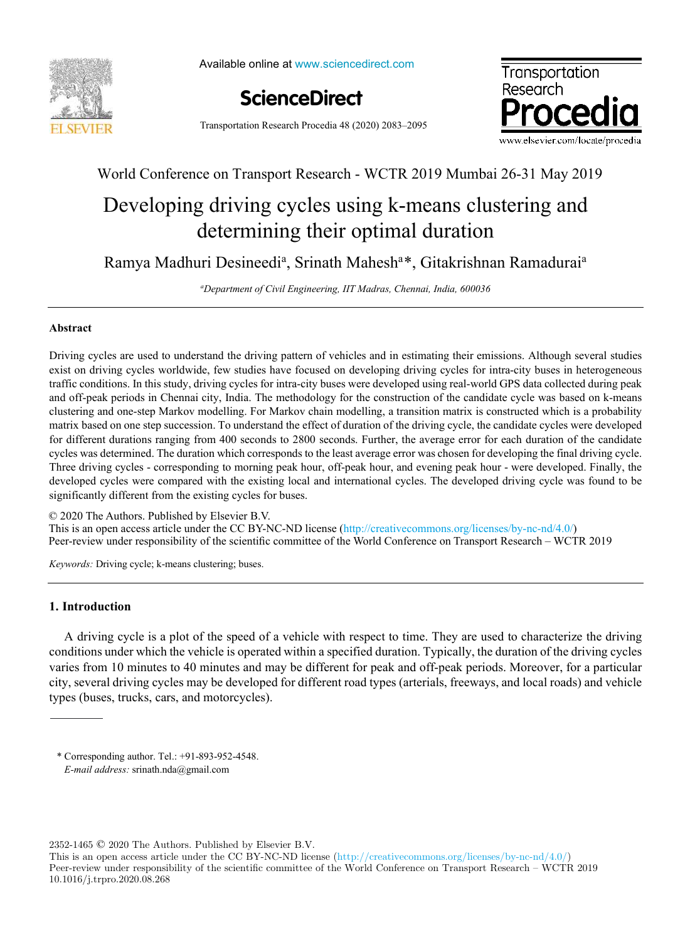

Available online at www.sciencedirect.com





Transportation Research Procedia 48 (2020) 2083–2095

# World Conference on Transport Research - WCTR 2019 Mumbai 26-31 May 2019

# Developing driving cycles using k-means clustering and determining their optimal duration

Ramya Madhuri Desineedi<sup>a</sup>, Srinath Mahesh<sup>a\*</sup>, Gitakrishnan Ramadurai<sup>a</sup>

*<sup>a</sup>Department of Civil Engineering, IIT Madras, Chennai, India, 600036*

# **Abstract**

Driving cycles are used to understand the driving pattern of vehicles and in estimating their emissions. Although several studies exist on driving cycles worldwide, few studies have focused on developing driving cycles for intra-city buses in heterogeneous traffic conditions. In this study, driving cycles for intra-city buses were developed using real-world GPS data collected during peak and off-peak periods in Chennai city, India. The methodology for the construction of the candidate cycle was based on k-means clustering and one-step Markov modelling. For Markov chain modelling, a transition matrix is constructed which is a probability matrix based on one step succession. To understand the effect of duration of the driving cycle, the candidate cycles were developed for different durations ranging from 400 seconds to 2800 seconds. Further, the average error for each duration of the candidate cycles was determined. The duration which corresponds to the least average error was chosen for developing the final driving cycle. Three driving cycles - corresponding to morning peak hour, off-peak hour, and evening peak hour - were developed. Finally, the developed cycles were compared with the existing local and international cycles. The developed driving cycle was found to be significantly different from the existing cycles for buses.

© 2020 The Authors. Published by Elsevier B.V.

This is an open access article under the CC BY-NC-ND license (http://creativecommons.org/licenses/by-nc-nd/4.0/) Peer-review under responsibility of the scientific committee of the World Conference on Transport Research – WCTR 2019

*Keywords:* Driving cycle; k-means clustering; buses.

# **1. Introduction**

A driving cycle is a plot of the speed of a vehicle with respect to time. They are used to characterize the driving conditions under which the vehicle is operated within a specified duration. Typically, the duration of the driving cycles varies from 10 minutes to 40 minutes and may be different for peak and off-peak periods. Moreover, for a particular city, several driving cycles may be developed for different road types (arterials, freeways, and local roads) and vehicle types (buses, trucks, cars, and motorcycles).

\* Corresponding author. Tel.: +91-893-952-4548. *E-mail address:* srinath.nda@gmail.com

2352-1465 © 2020 The Authors. Published by Elsevier B.V.

This is an open access article under the CC BY-NC-ND license (http://creativecommons.org/licenses/by-nc-nd/4.0/) Peer-review under responsibility of the scientific committee of the World Conference on Transport Research – WCTR 2019 10.1016/j.trpro.2020.08.268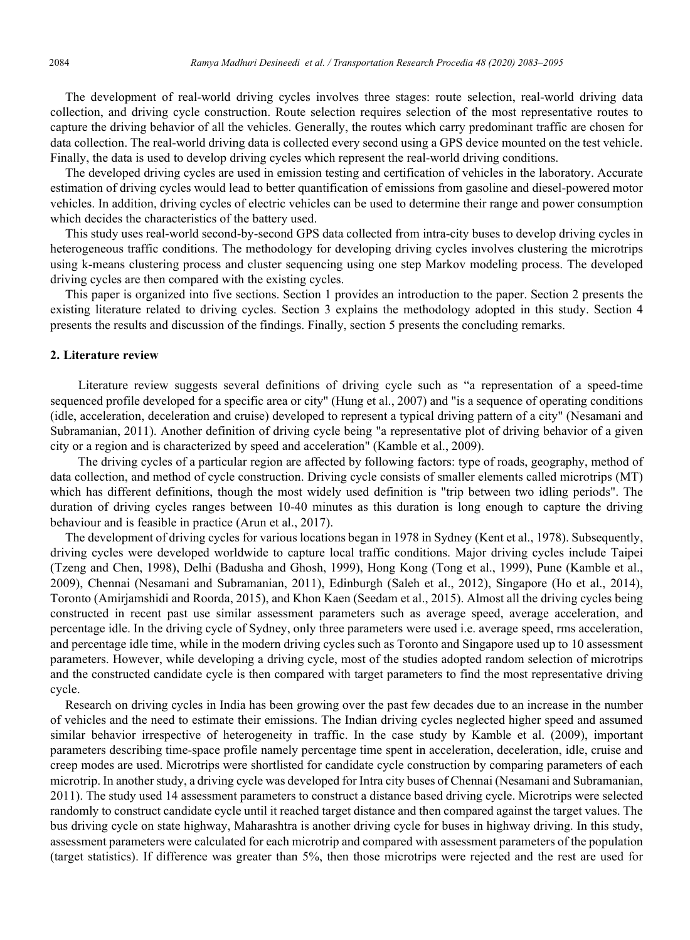The development of real-world driving cycles involves three stages: route selection, real-world driving data collection, and driving cycle construction. Route selection requires selection of the most representative routes to capture the driving behavior of all the vehicles. Generally, the routes which carry predominant traffic are chosen for data collection. The real-world driving data is collected every second using a GPS device mounted on the test vehicle. Finally, the data is used to develop driving cycles which represent the real-world driving conditions.

The developed driving cycles are used in emission testing and certification of vehicles in the laboratory. Accurate estimation of driving cycles would lead to better quantification of emissions from gasoline and diesel-powered motor vehicles. In addition, driving cycles of electric vehicles can be used to determine their range and power consumption which decides the characteristics of the battery used.

This study uses real-world second-by-second GPS data collected from intra-city buses to develop driving cycles in heterogeneous traffic conditions. The methodology for developing driving cycles involves clustering the microtrips using k-means clustering process and cluster sequencing using one step Markov modeling process. The developed driving cycles are then compared with the existing cycles.

This paper is organized into five sections. Section 1 provides an introduction to the paper. Section 2 presents the existing literature related to driving cycles. Section 3 explains the methodology adopted in this study. Section 4 presents the results and discussion of the findings. Finally, section 5 presents the concluding remarks.

## **2. Literature review**

 Literature review suggests several definitions of driving cycle such as "a representation of a speed-time sequenced profile developed for a specific area or city" (Hung et al., 2007) and "is a sequence of operating conditions (idle, acceleration, deceleration and cruise) developed to represent a typical driving pattern of a city" (Nesamani and Subramanian, 2011). Another definition of driving cycle being "a representative plot of driving behavior of a given city or a region and is characterized by speed and acceleration" (Kamble et al., 2009).

 The driving cycles of a particular region are affected by following factors: type of roads, geography, method of data collection, and method of cycle construction. Driving cycle consists of smaller elements called microtrips (MT) which has different definitions, though the most widely used definition is "trip between two idling periods". The duration of driving cycles ranges between 10-40 minutes as this duration is long enough to capture the driving behaviour and is feasible in practice (Arun et al., 2017).

The development of driving cycles for various locations began in 1978 in Sydney (Kent et al., 1978). Subsequently, driving cycles were developed worldwide to capture local traffic conditions. Major driving cycles include Taipei (Tzeng and Chen, 1998), Delhi (Badusha and Ghosh, 1999), Hong Kong (Tong et al., 1999), Pune (Kamble et al., 2009), Chennai (Nesamani and Subramanian, 2011), Edinburgh (Saleh et al., 2012), Singapore (Ho et al., 2014), Toronto (Amirjamshidi and Roorda, 2015), and Khon Kaen (Seedam et al., 2015). Almost all the driving cycles being constructed in recent past use similar assessment parameters such as average speed, average acceleration, and percentage idle. In the driving cycle of Sydney, only three parameters were used i.e. average speed, rms acceleration, and percentage idle time, while in the modern driving cycles such as Toronto and Singapore used up to 10 assessment parameters. However, while developing a driving cycle, most of the studies adopted random selection of microtrips and the constructed candidate cycle is then compared with target parameters to find the most representative driving cycle.

Research on driving cycles in India has been growing over the past few decades due to an increase in the number of vehicles and the need to estimate their emissions. The Indian driving cycles neglected higher speed and assumed similar behavior irrespective of heterogeneity in traffic. In the case study by Kamble et al. (2009), important parameters describing time-space profile namely percentage time spent in acceleration, deceleration, idle, cruise and creep modes are used. Microtrips were shortlisted for candidate cycle construction by comparing parameters of each microtrip. In another study, a driving cycle was developed for Intra city buses of Chennai (Nesamani and Subramanian, 2011). The study used 14 assessment parameters to construct a distance based driving cycle. Microtrips were selected randomly to construct candidate cycle until it reached target distance and then compared against the target values. The bus driving cycle on state highway, Maharashtra is another driving cycle for buses in highway driving. In this study, assessment parameters were calculated for each microtrip and compared with assessment parameters of the population (target statistics). If difference was greater than 5%, then those microtrips were rejected and the rest are used for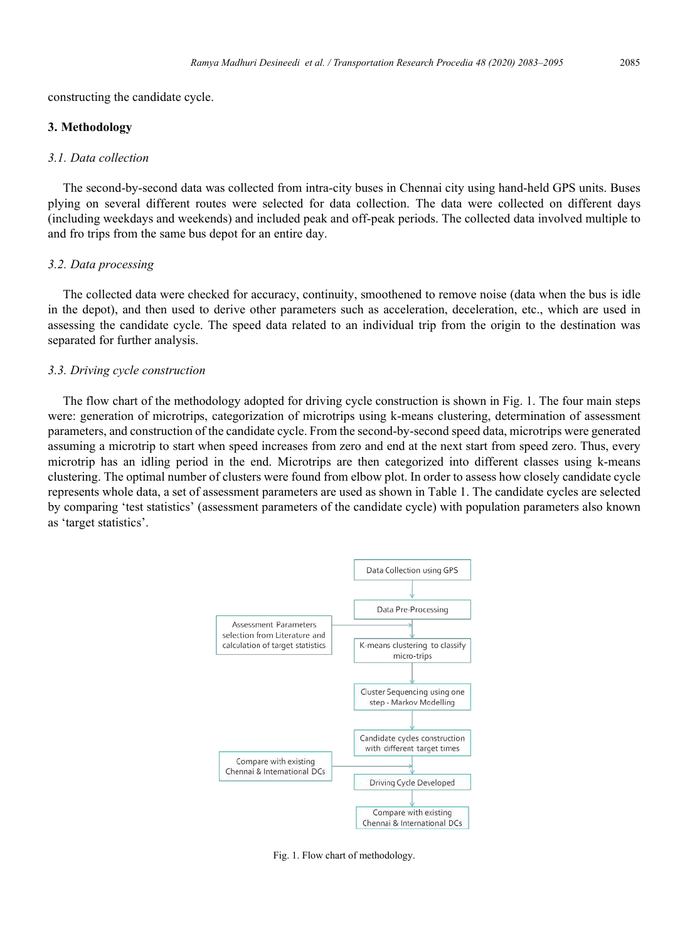constructing the candidate cycle.

#### **3. Methodology**

# *3.1. Data collection*

The second-by-second data was collected from intra-city buses in Chennai city using hand-held GPS units. Buses plying on several different routes were selected for data collection. The data were collected on different days (including weekdays and weekends) and included peak and off-peak periods. The collected data involved multiple to and fro trips from the same bus depot for an entire day.

#### *3.2. Data processing*

The collected data were checked for accuracy, continuity, smoothened to remove noise (data when the bus is idle in the depot), and then used to derive other parameters such as acceleration, deceleration, etc., which are used in assessing the candidate cycle. The speed data related to an individual trip from the origin to the destination was separated for further analysis.

# *3.3. Driving cycle construction*

The flow chart of the methodology adopted for driving cycle construction is shown in Fig. 1. The four main steps were: generation of microtrips, categorization of microtrips using k-means clustering, determination of assessment parameters, and construction of the candidate cycle. From the second-by-second speed data, microtrips were generated assuming a microtrip to start when speed increases from zero and end at the next start from speed zero. Thus, every microtrip has an idling period in the end. Microtrips are then categorized into different classes using k-means clustering. The optimal number of clusters were found from elbow plot. In order to assess how closely candidate cycle represents whole data, a set of assessment parameters are used as shown in Table 1. The candidate cycles are selected by comparing 'test statistics' (assessment parameters of the candidate cycle) with population parameters also known as 'target statistics'.



Fig. 1. Flow chart of methodology.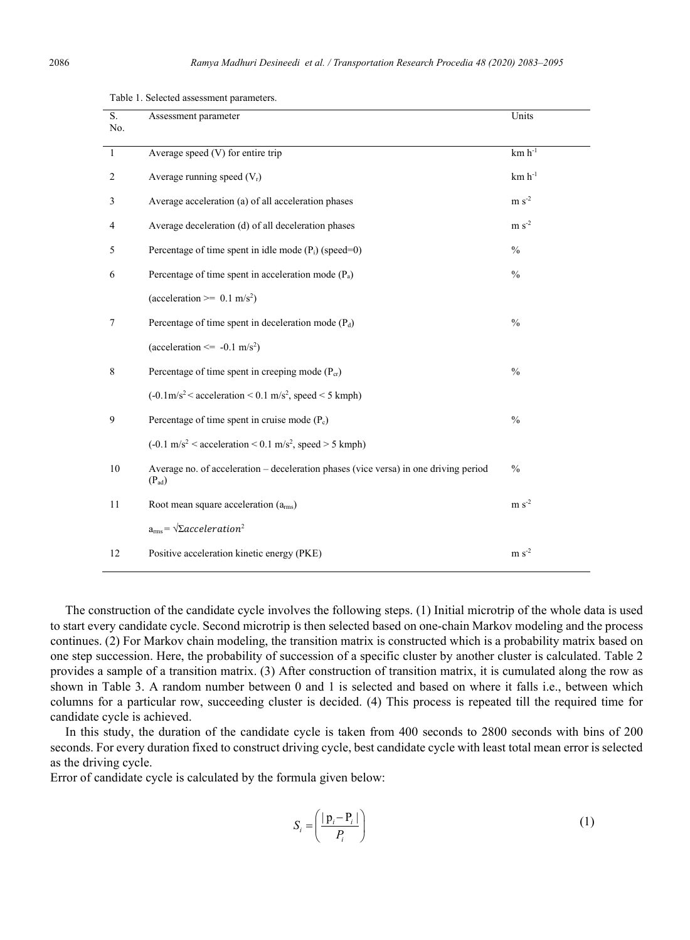| S.<br>No. | Assessment parameter                                                                               | Units         |
|-----------|----------------------------------------------------------------------------------------------------|---------------|
| -1        | Average speed (V) for entire trip                                                                  | $km h^{-1}$   |
| 2         | Average running speed $(V_r)$                                                                      | $km h^{-1}$   |
| 3         | Average acceleration (a) of all acceleration phases                                                | $m s-2$       |
| 4         | Average deceleration (d) of all deceleration phases                                                | $m s-2$       |
| 5         | Percentage of time spent in idle mode $(P_i)$ (speed=0)                                            | $\frac{0}{0}$ |
| 6         | Percentage of time spent in acceleration mode $(P_a)$                                              | $\frac{0}{0}$ |
|           | (acceleration >= $0.1 \text{ m/s}^2$ )                                                             |               |
| 7         | Percentage of time spent in deceleration mode $(P_d)$                                              | $\frac{0}{0}$ |
|           | (acceleration $\le$ -0.1 m/s <sup>2</sup> )                                                        |               |
| 8         | Percentage of time spent in creeping mode $(P_{cr})$                                               | $\frac{0}{0}$ |
|           | $(-0.1 \text{m/s}^2$ < acceleration < 0.1 m/s <sup>2</sup> , speed < 5 kmph)                       |               |
| 9         | Percentage of time spent in cruise mode $(P_c)$                                                    | $\frac{0}{0}$ |
|           | $(-0.1 \text{ m/s}^2 <$ acceleration $< 0.1 \text{ m/s}^2$ , speed $> 5 \text{ kmph}$ )            |               |
| 10        | Average no. of acceleration – deceleration phases (vice versa) in one driving period<br>$(P_{ad})$ | $\%$          |
| 11        | Root mean square acceleration $(arms)$                                                             | $m s-2$       |

Table 1. Selected assessment parameters.

The construction of the candidate cycle involves the following steps. (1) Initial microtrip of the whole data is used to start every candidate cycle. Second microtrip is then selected based on one-chain Markov modeling and the process continues. (2) For Markov chain modeling, the transition matrix is constructed which is a probability matrix based on one step succession. Here, the probability of succession of a specific cluster by another cluster is calculated. Table 2 provides a sample of a transition matrix. (3) After construction of transition matrix, it is cumulated along the row as shown in Table 3. A random number between 0 and 1 is selected and based on where it falls i.e., between which columns for a particular row, succeeding cluster is decided. (4) This process is repeated till the required time for candidate cycle is achieved.

12 Positive acceleration kinetic energy (PKE) m s<sup>-2</sup>

In this study, the duration of the candidate cycle is taken from 400 seconds to 2800 seconds with bins of 200 seconds. For every duration fixed to construct driving cycle, best candidate cycle with least total mean error is selected as the driving cycle.

Error of candidate cycle is calculated by the formula given below:

 $a_{\rm rms} = \sqrt{\Sigma} acceleration^2$ 

$$
S_i = \left(\frac{|\mathbf{p}_i - \mathbf{P}_i|}{P_i}\right) \tag{1}
$$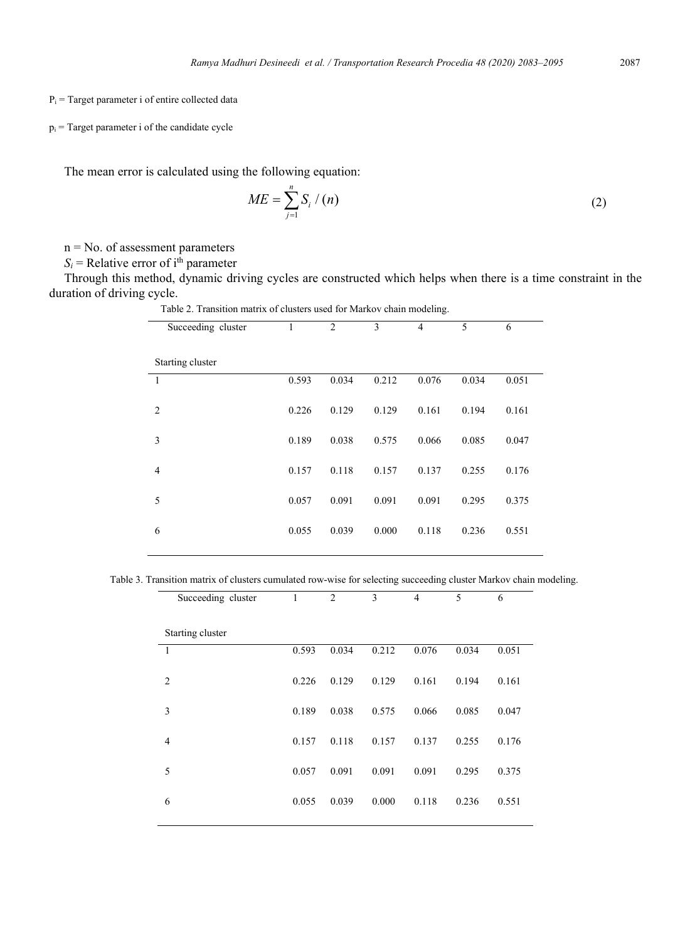#### $P_i$  = Target parameter i of entire collected data

 $p_i$  = Target parameter i of the candidate cycle

The mean error is calculated using the following equation:

$$
ME = \sum_{j=1}^{n} S_{i} / (n)
$$
 (2)

n = No. of assessment parameters

 $S_i$  = Relative error of i<sup>th</sup> parameter

Through this method, dynamic driving cycles are constructed which helps when there is a time constraint in the duration of driving cycle.

| Succeeding cluster | 1     | $\overline{2}$ | 3     | $\overline{4}$ | 5     | 6     |
|--------------------|-------|----------------|-------|----------------|-------|-------|
| Starting cluster   |       |                |       |                |       |       |
| 1                  | 0.593 | 0.034          | 0.212 | 0.076          | 0.034 | 0.051 |
| $\overline{2}$     | 0.226 | 0.129          | 0.129 | 0.161          | 0.194 | 0.161 |
| 3                  | 0.189 | 0.038          | 0.575 | 0.066          | 0.085 | 0.047 |
| $\overline{4}$     | 0.157 | 0.118          | 0.157 | 0.137          | 0.255 | 0.176 |
| 5                  | 0.057 | 0.091          | 0.091 | 0.091          | 0.295 | 0.375 |
| 6                  | 0.055 | 0.039          | 0.000 | 0.118          | 0.236 | 0.551 |
|                    |       |                |       |                |       |       |

Table 2. Transition matrix of clusters used for Markov chain modeling.

Table 3. Transition matrix of clusters cumulated row-wise for selecting succeeding cluster Markov chain modeling.

| Succeeding cluster | 1     | 2     | 3     | 4     | 5     | 6     |
|--------------------|-------|-------|-------|-------|-------|-------|
| Starting cluster   |       |       |       |       |       |       |
| 1                  | 0.593 | 0.034 | 0.212 | 0.076 | 0.034 | 0.051 |
| $\overline{c}$     | 0.226 | 0.129 | 0.129 | 0.161 | 0.194 | 0.161 |
| 3                  | 0.189 | 0.038 | 0.575 | 0.066 | 0.085 | 0.047 |
| $\overline{4}$     | 0.157 | 0.118 | 0.157 | 0.137 | 0.255 | 0.176 |
| 5                  | 0.057 | 0.091 | 0.091 | 0.091 | 0.295 | 0.375 |
| 6                  | 0.055 | 0.039 | 0.000 | 0.118 | 0.236 | 0.551 |
|                    |       |       |       |       |       |       |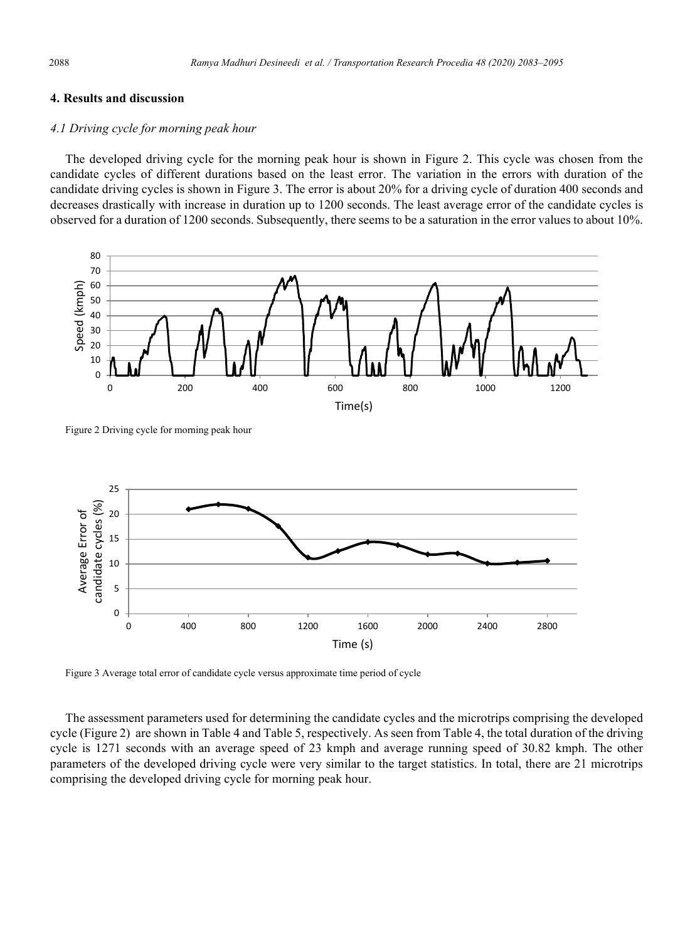# **4. Results and discussion**

# *4.1 Driving cycle for morning peak hour*

The developed driving cycle for the morning peak hour is shown in Figure 2. This cycle was chosen from the candidate cycles of different durations based on the least error. The variation in the errors with duration of the candidate driving cycles is shown in Figure 3. The error is about 20% for a driving cycle of duration 400 seconds and decreases drastically with increase in duration up to 1200 seconds. The least average error of the candidate cycles is observed for a duration of 1200 seconds. Subsequently, there seems to be a saturation in the error values to about 10%.



Figure 2 Driving cycle for morning peak hour



Figure 3 Average total error of candidate cycle versus approximate time period of cycle

The assessment parameters used for determining the candidate cycles and the microtrips comprising the developed cycle (Figure 2) are shown in Table 4 and Table 5, respectively. As seen from Table 4, the total duration of the driving cycle is 1271 seconds with an average speed of 23 kmph and average running speed of 30.82 kmph. The other parameters of the developed driving cycle were very similar to the target statistics. In total, there are 21 microtrips comprising the developed driving cycle for morning peak hour.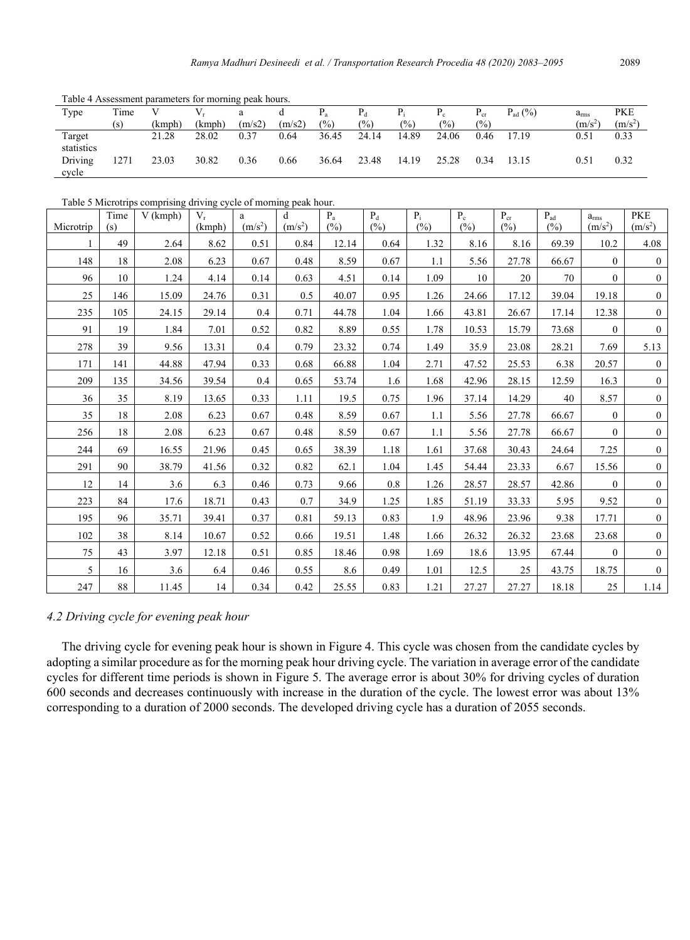| Twere 11 Representative parameters for morning pour nome. |      |        |        |        |        |        |                |                 |       |          |                     |               |            |
|-----------------------------------------------------------|------|--------|--------|--------|--------|--------|----------------|-----------------|-------|----------|---------------------|---------------|------------|
| Type                                                      | Time |        |        | a      | đ      |        | $P_d$          | $P_i$           |       | $P_{cr}$ | $P_{\text{ad}}(\%)$ | $a_{\rm rms}$ | <b>PKE</b> |
|                                                           | (s)  | (kmph) | (kmph) | (m/s2) | (m/s2) | $(\%)$ | $\frac{10}{6}$ | $\frac{(0)}{0}$ | (%)   | (%)      |                     | $(m/s^2)$     | $(m/s^2)$  |
| Target                                                    |      | 21.28  | 28.02  | 0.37   | 0.64   | 36.45  | 24.14          | 14.89           | 24.06 | 0.46     | 17.19               | 0.51          | 0.33       |
| statistics                                                |      |        |        |        |        |        |                |                 |       |          |                     |               |            |
| Driving                                                   | 1271 | 23.03  | 30.82  | 0.36   | 0.66   | 36.64  | 23.48          | 14.19           | 25.28 | 0.34     | 13.15               | 0.51          | 0.32       |
| cycle                                                     |      |        |        |        |        |        |                |                 |       |          |                     |               |            |

Table 4 Assessment parameters for morning peak hours.

Table 5 Microtrips comprising driving cycle of morning peak hour.

| Microtrip | Time<br>(s) | $V$ (kmph) | $V_r$<br>(kmph) | a<br>(m/s <sup>2</sup> ) | d<br>(m/s <sup>2</sup> ) | $P_{a}$<br>(%) | $P_d$<br>(%) | $P_i$<br>(%) | $P_{c}$<br>(%) | $P_{cr}$<br>(%) | $P_{ad}$<br>(%) | $a_{\rm rms}$<br>(m/s <sup>2</sup> ) | <b>PKE</b><br>(m/s <sup>2</sup> ) |
|-----------|-------------|------------|-----------------|--------------------------|--------------------------|----------------|--------------|--------------|----------------|-----------------|-----------------|--------------------------------------|-----------------------------------|
|           | 49          | 2.64       | 8.62            | 0.51                     | 0.84                     | 12.14          | 0.64         | 1.32         | 8.16           | 8.16            | 69.39           | 10.2                                 | 4.08                              |
| 148       | 18          | 2.08       | 6.23            | 0.67                     | 0.48                     | 8.59           | 0.67         | 1.1          | 5.56           | 27.78           | 66.67           | $\overline{0}$                       | $\mathbf{0}$                      |
| 96        | 10          | 1.24       | 4.14            | 0.14                     | 0.63                     | 4.51           | 0.14         | 1.09         | 10             | 20              | 70              | $\overline{0}$                       | $\overline{0}$                    |
| 25        | 146         | 15.09      | 24.76           | 0.31                     | 0.5                      | 40.07          | 0.95         | 1.26         | 24.66          | 17.12           | 39.04           | 19.18                                | $\mathbf{0}$                      |
| 235       | 105         | 24.15      | 29.14           | 0.4                      | 0.71                     | 44.78          | 1.04         | 1.66         | 43.81          | 26.67           | 17.14           | 12.38                                | $\mathbf{0}$                      |
| 91        | 19          | 1.84       | 7.01            | 0.52                     | 0.82                     | 8.89           | 0.55         | 1.78         | 10.53          | 15.79           | 73.68           | $\mathbf{0}$                         | $\overline{0}$                    |
| 278       | 39          | 9.56       | 13.31           | 0.4                      | 0.79                     | 23.32          | 0.74         | 1.49         | 35.9           | 23.08           | 28.21           | 7.69                                 | 5.13                              |
| 171       | 141         | 44.88      | 47.94           | 0.33                     | 0.68                     | 66.88          | 1.04         | 2.71         | 47.52          | 25.53           | 6.38            | 20.57                                | $\mathbf{0}$                      |
| 209       | 135         | 34.56      | 39.54           | 0.4                      | 0.65                     | 53.74          | 1.6          | 1.68         | 42.96          | 28.15           | 12.59           | 16.3                                 | $\overline{0}$                    |
| 36        | 35          | 8.19       | 13.65           | 0.33                     | 1.11                     | 19.5           | 0.75         | 1.96         | 37.14          | 14.29           | 40              | 8.57                                 | $\overline{0}$                    |
| 35        | 18          | 2.08       | 6.23            | 0.67                     | 0.48                     | 8.59           | 0.67         | 1.1          | 5.56           | 27.78           | 66.67           | $\overline{0}$                       | $\mathbf{0}$                      |
| 256       | 18          | 2.08       | 6.23            | 0.67                     | 0.48                     | 8.59           | 0.67         | 1.1          | 5.56           | 27.78           | 66.67           | $\overline{0}$                       | $\overline{0}$                    |
| 244       | 69          | 16.55      | 21.96           | 0.45                     | 0.65                     | 38.39          | 1.18         | 1.61         | 37.68          | 30.43           | 24.64           | 7.25                                 | $\overline{0}$                    |
| 291       | 90          | 38.79      | 41.56           | 0.32                     | 0.82                     | 62.1           | 1.04         | 1.45         | 54.44          | 23.33           | 6.67            | 15.56                                | $\mathbf{0}$                      |
| 12        | 14          | 3.6        | 6.3             | 0.46                     | 0.73                     | 9.66           | 0.8          | 1.26         | 28.57          | 28.57           | 42.86           | $\overline{0}$                       | $\overline{0}$                    |
| 223       | 84          | 17.6       | 18.71           | 0.43                     | 0.7                      | 34.9           | 1.25         | 1.85         | 51.19          | 33.33           | 5.95            | 9.52                                 | $\overline{0}$                    |
| 195       | 96          | 35.71      | 39.41           | 0.37                     | 0.81                     | 59.13          | 0.83         | 1.9          | 48.96          | 23.96           | 9.38            | 17.71                                | $\overline{0}$                    |
| 102       | 38          | 8.14       | 10.67           | 0.52                     | 0.66                     | 19.51          | 1.48         | 1.66         | 26.32          | 26.32           | 23.68           | 23.68                                | $\overline{0}$                    |
| 75        | 43          | 3.97       | 12.18           | 0.51                     | 0.85                     | 18.46          | 0.98         | 1.69         | 18.6           | 13.95           | 67.44           | $\overline{0}$                       | $\overline{0}$                    |
| 5         | 16          | 3.6        | 6.4             | 0.46                     | 0.55                     | 8.6            | 0.49         | 1.01         | 12.5           | 25              | 43.75           | 18.75                                | $\mathbf{0}$                      |
| 247       | 88          | 11.45      | 14              | 0.34                     | 0.42                     | 25.55          | 0.83         | 1.21         | 27.27          | 27.27           | 18.18           | 25                                   | 1.14                              |

### *4.2 Driving cycle for evening peak hour*

The driving cycle for evening peak hour is shown in Figure 4. This cycle was chosen from the candidate cycles by adopting a similar procedure as for the morning peak hour driving cycle. The variation in average error of the candidate cycles for different time periods is shown in Figure 5. The average error is about 30% for driving cycles of duration 600 seconds and decreases continuously with increase in the duration of the cycle. The lowest error was about 13% corresponding to a duration of 2000 seconds. The developed driving cycle has a duration of 2055 seconds.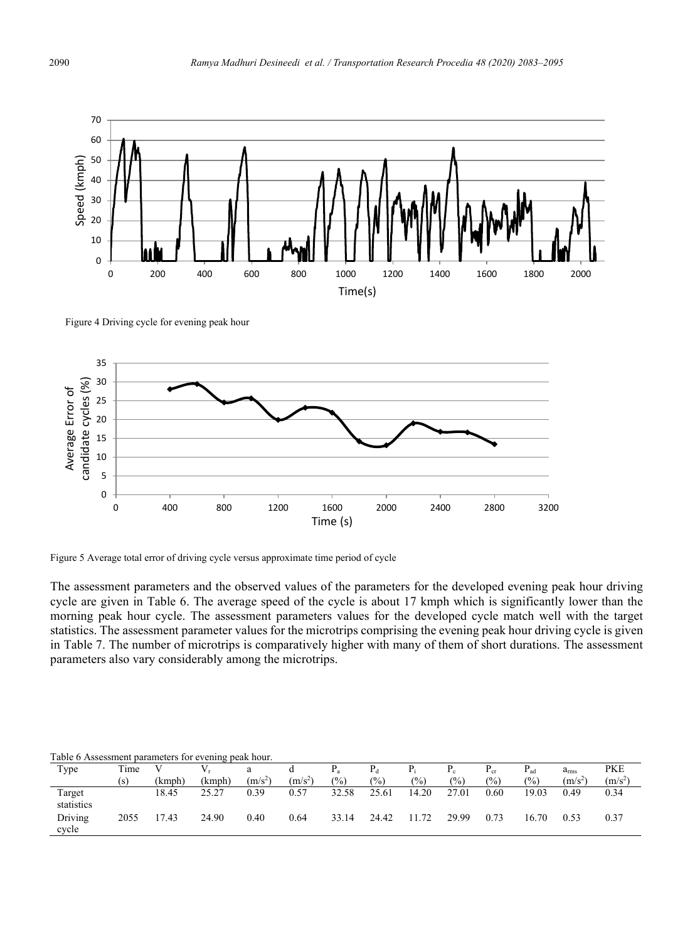

Figure 4 Driving cycle for evening peak hour



Figure 5 Average total error of driving cycle versus approximate time period of cycle

The assessment parameters and the observed values of the parameters for the developed evening peak hour driving cycle are given in Table 6. The average speed of the cycle is about 17 kmph which is significantly lower than the morning peak hour cycle. The assessment parameters values for the developed cycle match well with the target statistics. The assessment parameter values for the microtrips comprising the evening peak hour driving cycle is given in Table 7. The number of microtrips is comparatively higher with many of them of short durations. The assessment parameters also vary considerably among the microtrips.

Table 6 Assessment parameters for evening peak hour.

| Type                 | Time |        |        | a         | a         | $\mathbf{1}$ a | $P_d$           | $P_i$         |                 | $P_{cr}$      | $P_{ad}$ | $a_{\rm rms}$ | <b>PKE</b> |
|----------------------|------|--------|--------|-----------|-----------|----------------|-----------------|---------------|-----------------|---------------|----------|---------------|------------|
|                      | 's   | (kmph) | (kmph) | $(m/s^2)$ | $(m/s^2)$ | $\frac{1}{2}$  | $\frac{(0)}{0}$ | $\frac{0}{0}$ | $\frac{10}{20}$ | $\frac{6}{2}$ | (%)      | $(m/s^2)$     | $(m/s^2)$  |
| Target<br>statistics |      | 18.45  | 25.27  | 0.39      | 0.57      | 32.58          | 25.61           | 14.20         | 27.01           | 0.60          | 19.03    | 0.49          | 0.34       |
| Driving<br>cvcle     | 2055 | 7.43   | 24.90  | 0.40      | 0.64      | 33.14          | 24.42           | 11.72         | 29.99           | 0.73          | 16.70    | 0.53          | 0.37       |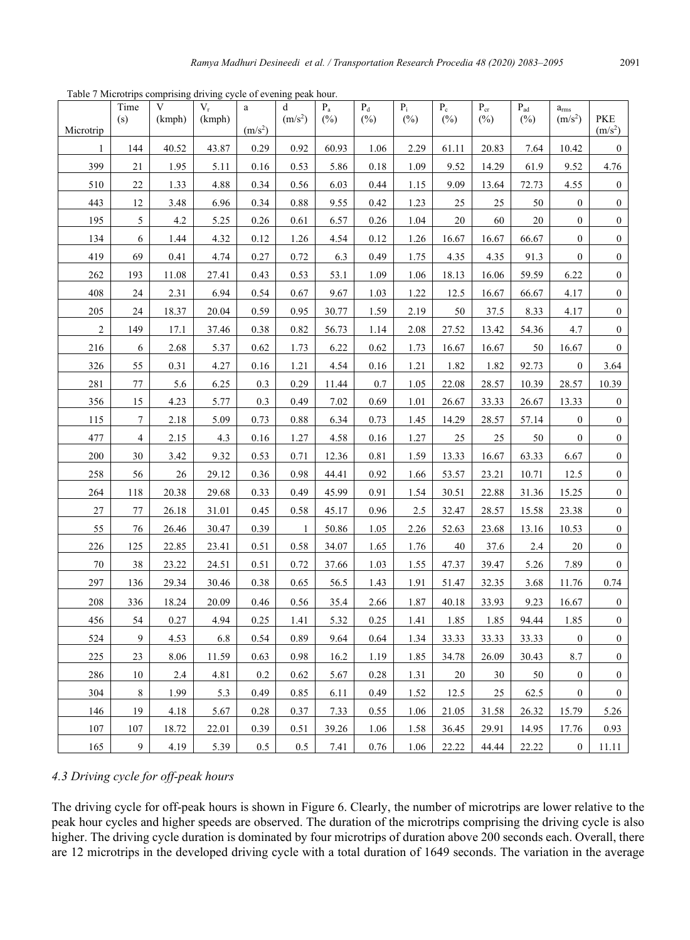|                | Time           | V      | $V_r$  | $\rm{a}$            | d                   | $\mathbf{P}_{\text{a}}$ | $\mathbf{P}_{\text{d}}$ | $P_i$  | $P_c$ | $\mathbf{P}_{\mathrm{cr}}$ | $\mathbf{P}_{\text{ad}}$ | $a_{rms}$           |                                   |
|----------------|----------------|--------|--------|---------------------|---------------------|-------------------------|-------------------------|--------|-------|----------------------------|--------------------------|---------------------|-----------------------------------|
| Microtrip      | (s)            | (kmph) | (kmph) | (m/s <sup>2</sup> ) | (m/s <sup>2</sup> ) | $(\%)$                  | $(\%)$                  | $(\%)$ | (%)   | $(\%)$                     | $(\%)$                   | (m/s <sup>2</sup> ) | <b>PKE</b><br>(m/s <sup>2</sup> ) |
| 1              | 144            | 40.52  | 43.87  | 0.29                | 0.92                | 60.93                   | 1.06                    | 2.29   | 61.11 | 20.83                      | 7.64                     | 10.42               | $\boldsymbol{0}$                  |
| 399            | 21             | 1.95   | 5.11   | 0.16                | 0.53                | 5.86                    | 0.18                    | 1.09   | 9.52  | 14.29                      | 61.9                     | 9.52                | 4.76                              |
| 510            | 22             | 1.33   | 4.88   | 0.34                | 0.56                | 6.03                    | 0.44                    | 1.15   | 9.09  | 13.64                      | 72.73                    | 4.55                | $\boldsymbol{0}$                  |
| 443            | 12             | 3.48   | 6.96   | 0.34                | 0.88                | 9.55                    | 0.42                    | 1.23   | 25    | 25                         | 50                       | $\boldsymbol{0}$    | $\boldsymbol{0}$                  |
| 195            | 5              | 4.2    | 5.25   | 0.26                | 0.61                | 6.57                    | 0.26                    | 1.04   | 20    | 60                         | 20                       | $\boldsymbol{0}$    | $\boldsymbol{0}$                  |
| 134            | 6              | 1.44   | 4.32   | 0.12                | 1.26                | 4.54                    | 0.12                    | 1.26   | 16.67 | 16.67                      | 66.67                    | $\boldsymbol{0}$    | $\boldsymbol{0}$                  |
| 419            | 69             | 0.41   | 4.74   | 0.27                | 0.72                | 6.3                     | 0.49                    | 1.75   | 4.35  | 4.35                       | 91.3                     | $\boldsymbol{0}$    | $\boldsymbol{0}$                  |
| 262            | 193            | 11.08  | 27.41  | 0.43                | 0.53                | 53.1                    | 1.09                    | 1.06   | 18.13 | 16.06                      | 59.59                    | 6.22                | $\boldsymbol{0}$                  |
| 408            | 24             | 2.31   | 6.94   | 0.54                | 0.67                | 9.67                    | 1.03                    | 1.22   | 12.5  | 16.67                      | 66.67                    | 4.17                | $\boldsymbol{0}$                  |
| 205            | 24             | 18.37  | 20.04  | 0.59                | 0.95                | 30.77                   | 1.59                    | 2.19   | 50    | 37.5                       | 8.33                     | 4.17                | $\boldsymbol{0}$                  |
| $\overline{c}$ | 149            | 17.1   | 37.46  | 0.38                | 0.82                | 56.73                   | 1.14                    | 2.08   | 27.52 | 13.42                      | 54.36                    | 4.7                 | $\boldsymbol{0}$                  |
| 216            | 6              | 2.68   | 5.37   | 0.62                | 1.73                | 6.22                    | 0.62                    | 1.73   | 16.67 | 16.67                      | 50                       | 16.67               | $\boldsymbol{0}$                  |
| 326            | 55             | 0.31   | 4.27   | 0.16                | 1.21                | 4.54                    | 0.16                    | 1.21   | 1.82  | 1.82                       | 92.73                    | $\boldsymbol{0}$    | 3.64                              |
| 281            | 77             | 5.6    | 6.25   | 0.3                 | 0.29                | 11.44                   | 0.7                     | 1.05   | 22.08 | 28.57                      | 10.39                    | 28.57               | 10.39                             |
| 356            | 15             | 4.23   | 5.77   | 0.3                 | 0.49                | 7.02                    | 0.69                    | 1.01   | 26.67 | 33.33                      | 26.67                    | 13.33               | $\boldsymbol{0}$                  |
| 115            | $\tau$         | 2.18   | 5.09   | 0.73                | 0.88                | 6.34                    | 0.73                    | 1.45   | 14.29 | 28.57                      | 57.14                    | $\boldsymbol{0}$    | $\boldsymbol{0}$                  |
| 477            | $\overline{4}$ | 2.15   | 4.3    | 0.16                | 1.27                | 4.58                    | 0.16                    | 1.27   | 25    | 25                         | 50                       | $\boldsymbol{0}$    | $\boldsymbol{0}$                  |
| 200            | 30             | 3.42   | 9.32   | 0.53                | 0.71                | 12.36                   | 0.81                    | 1.59   | 13.33 | 16.67                      | 63.33                    | 6.67                | $\boldsymbol{0}$                  |
| 258            | 56             | 26     | 29.12  | 0.36                | 0.98                | 44.41                   | 0.92                    | 1.66   | 53.57 | 23.21                      | 10.71                    | 12.5                | $\boldsymbol{0}$                  |
| 264            | 118            | 20.38  | 29.68  | 0.33                | 0.49                | 45.99                   | 0.91                    | 1.54   | 30.51 | 22.88                      | 31.36                    | 15.25               | $\boldsymbol{0}$                  |
| 27             | 77             | 26.18  | 31.01  | 0.45                | 0.58                | 45.17                   | 0.96                    | 2.5    | 32.47 | 28.57                      | 15.58                    | 23.38               | $\boldsymbol{0}$                  |
| 55             | 76             | 26.46  | 30.47  | 0.39                | 1                   | 50.86                   | 1.05                    | 2.26   | 52.63 | 23.68                      | 13.16                    | 10.53               | $\boldsymbol{0}$                  |
| 226            | 125            | 22.85  | 23.41  | 0.51                | 0.58                | 34.07                   | 1.65                    | 1.76   | 40    | 37.6                       | 2.4                      | 20                  | $\boldsymbol{0}$                  |
| 70             | 38             | 23.22  | 24.51  | 0.51                | 0.72                | 37.66                   | 1.03                    | 1.55   | 47.37 | 39.47                      | 5.26                     | 7.89                | $\boldsymbol{0}$                  |
| 297            | 136            | 29.34  | 30.46  | 0.38                | 0.65                | 56.5                    | 1.43                    | 1.91   | 51.47 | 32.35                      | 3.68                     | 11.76               | 0.74                              |
| 208            | 336            | 18.24  | 20.09  | 0.46                | 0.56                | 35.4                    | 2.66                    | 1.87   | 40.18 | 33.93                      | 9.23                     | 16.67               | $\boldsymbol{0}$                  |
| 456            | 54             | 0.27   | 4.94   | 0.25                | 1.41                | 5.32                    | 0.25                    | 1.41   | 1.85  | 1.85                       | 94.44                    | 1.85                | $\boldsymbol{0}$                  |
| 524            | 9              | 4.53   | 6.8    | 0.54                | 0.89                | 9.64                    | 0.64                    | 1.34   | 33.33 | 33.33                      | 33.33                    | $\boldsymbol{0}$    | $\boldsymbol{0}$                  |
| 225            | 23             | 8.06   | 11.59  | 0.63                | 0.98                | 16.2                    | 1.19                    | 1.85   | 34.78 | 26.09                      | 30.43                    | 8.7                 | $\boldsymbol{0}$                  |
| 286            | 10             | 2.4    | 4.81   | 0.2                 | 0.62                | 5.67                    | 0.28                    | 1.31   | 20    | 30                         | 50                       | $\boldsymbol{0}$    | $\boldsymbol{0}$                  |
| 304            | 8              | 1.99   | 5.3    | 0.49                | 0.85                | 6.11                    | 0.49                    | 1.52   | 12.5  | 25                         | 62.5                     | $\boldsymbol{0}$    | $\boldsymbol{0}$                  |
| 146            | 19             | 4.18   | 5.67   | 0.28                | 0.37                | 7.33                    | 0.55                    | 1.06   | 21.05 | 31.58                      | 26.32                    | 15.79               | 5.26                              |
| 107            | 107            | 18.72  | 22.01  | 0.39                | 0.51                | 39.26                   | 1.06                    | 1.58   | 36.45 | 29.91                      | 14.95                    | 17.76               | 0.93                              |
| 165            | 9              | 4.19   | 5.39   | 0.5                 | 0.5                 | 7.41                    | 0.76                    | 1.06   | 22.22 | 44.44                      | 22.22                    | $\boldsymbol{0}$    | 11.11                             |

Table 7 Microtrips comprising driving cycle of evening peak hour.

# *4.3 Driving cycle for off-peak hours*

The driving cycle for off-peak hours is shown in Figure 6. Clearly, the number of microtrips are lower relative to the peak hour cycles and higher speeds are observed. The duration of the microtrips comprising the driving cycle is also higher. The driving cycle duration is dominated by four microtrips of duration above 200 seconds each. Overall, there are 12 microtrips in the developed driving cycle with a total duration of 1649 seconds. The variation in the average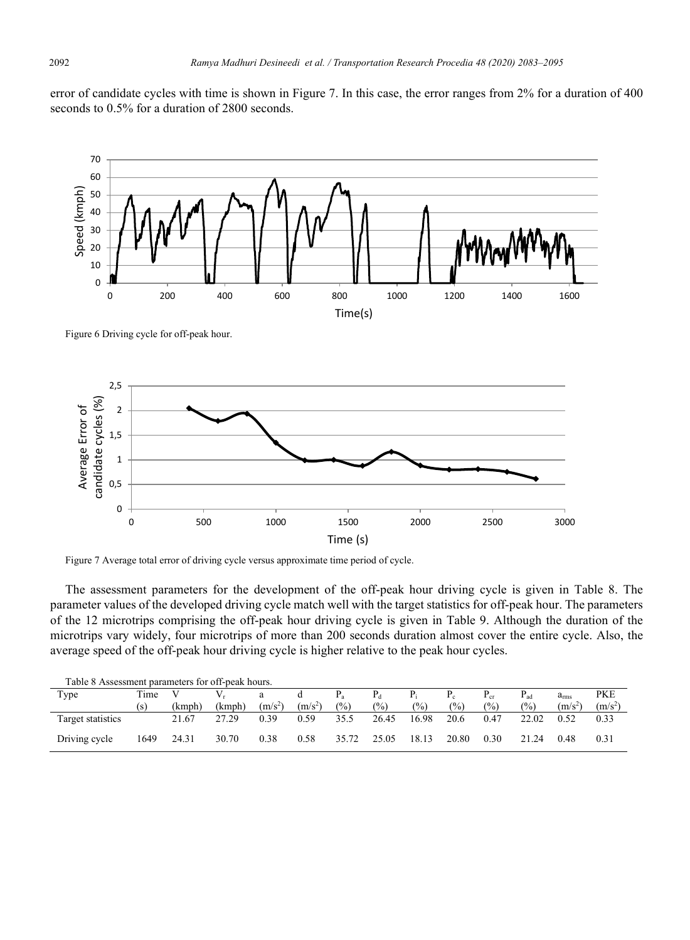error of candidate cycles with time is shown in Figure 7. In this case, the error ranges from 2% for a duration of 400 seconds to 0.5% for a duration of 2800 seconds.



Figure 6 Driving cycle for off-peak hour.



Figure 7 Average total error of driving cycle versus approximate time period of cycle.

The assessment parameters for the development of the off-peak hour driving cycle is given in Table 8. The parameter values of the developed driving cycle match well with the target statistics for off-peak hour. The parameters of the 12 microtrips comprising the off-peak hour driving cycle is given in Table 9. Although the duration of the microtrips vary widely, four microtrips of more than 200 seconds duration almost cover the entire cycle. Also, the average speed of the off-peak hour driving cycle is higher relative to the peak hour cycles.

| Table 8 Assessment parameters for off-peak hours. |      |        |        |           |           |       |       |       |                 |                  |                 |               |           |
|---------------------------------------------------|------|--------|--------|-----------|-----------|-------|-------|-------|-----------------|------------------|-----------------|---------------|-----------|
| Type                                              | Time |        |        | a         | đ         |       |       |       |                 | $\frac{1}{2}$ cr | $P_{\text{ad}}$ | $a_{\rm rms}$ | PKE       |
|                                                   | ١s   | (kmph) | (kmph) | $(m/s^2)$ | $(m/s^2)$ | (%)   | (%)   | (%)   | $\frac{(0)}{0}$ | $\frac{10}{6}$   | (%)             | $(m/s^2)$     | $(m/s^2)$ |
| Target statistics                                 |      | 21.67  | 27.29  | 0.39      | 0.59      | 35.5  | 26.45 | 16.98 | 20.6            | 0.47             | 22.02           | 0.52          | 0.33      |
| Driving cycle                                     | 1649 | 24.31  | 30.70  | 0.38      | 0.58      | 35.72 | 25.05 | 18.13 | 20.80           | 0.30             | 21.24           | 0.48          | 0.31      |

Table 8 Assessment parameters for off-peak hours.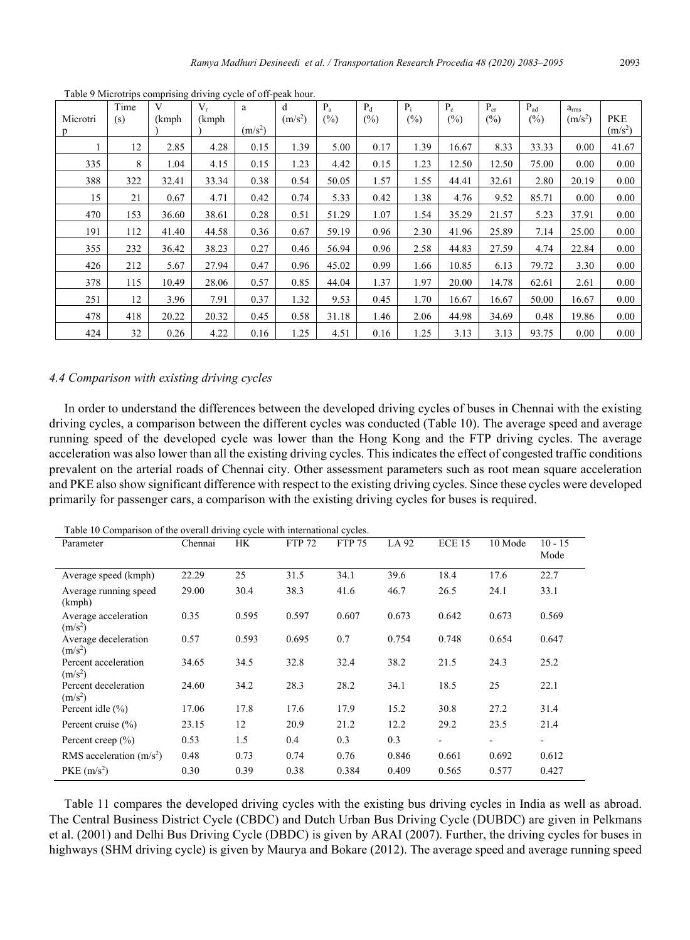| Microtri<br>p | Time<br>(s) | V<br>(kmph | $V_r$<br>(kmph | a<br>(m/s <sup>2</sup> ) | d<br>$(m/s^2)$ | $P_{a}$<br>(%) | $P_d$<br>(%) | $P_i$<br>$(\%)$ | $P_c$<br>$(\%)$ | $P_{cr}$<br>(%) | $P_{ad}$<br>$(\%)$ | $a_{\rm rms}$<br>(m/s <sup>2</sup> ) | <b>PKE</b><br>$(m/s^2)$ |
|---------------|-------------|------------|----------------|--------------------------|----------------|----------------|--------------|-----------------|-----------------|-----------------|--------------------|--------------------------------------|-------------------------|
|               | 12          | 2.85       | 4.28           | 0.15                     | 1.39           | 5.00           | 0.17         | 1.39            | 16.67           | 8.33            | 33.33              | 0.00                                 | 41.67                   |
| 335           | 8           | 1.04       | 4.15           | 0.15                     | 1.23           | 4.42           | 0.15         | 1.23            | 12.50           | 12.50           | 75.00              | 0.00                                 | 0.00                    |
| 388           | 322         | 32.41      | 33.34          | 0.38                     | 0.54           | 50.05          | 1.57         | 1.55            | 44.41           | 32.61           | 2.80               | 20.19                                | 0.00                    |
| 15            | 21          | 0.67       | 4.71           | 0.42                     | 0.74           | 5.33           | 0.42         | 1.38            | 4.76            | 9.52            | 85.71              | 0.00                                 | 0.00                    |
| 470           | 153         | 36.60      | 38.61          | 0.28                     | 0.51           | 51.29          | 1.07         | 1.54            | 35.29           | 21.57           | 5.23               | 37.91                                | 0.00                    |
| 191           | 112         | 41.40      | 44.58          | 0.36                     | 0.67           | 59.19          | 0.96         | 2.30            | 41.96           | 25.89           | 7.14               | 25.00                                | 0.00                    |
| 355           | 232         | 36.42      | 38.23          | 0.27                     | 0.46           | 56.94          | 0.96         | 2.58            | 44.83           | 27.59           | 4.74               | 22.84                                | 0.00                    |
| 426           | 212         | 5.67       | 27.94          | 0.47                     | 0.96           | 45.02          | 0.99         | 1.66            | 10.85           | 6.13            | 79.72              | 3.30                                 | 0.00                    |
| 378           | 115         | 10.49      | 28.06          | 0.57                     | 0.85           | 44.04          | 1.37         | 1.97            | 20.00           | 14.78           | 62.61              | 2.61                                 | 0.00                    |
| 251           | 12          | 3.96       | 7.91           | 0.37                     | 1.32           | 9.53           | 0.45         | 1.70            | 16.67           | 16.67           | 50.00              | 16.67                                | 0.00                    |
| 478           | 418         | 20.22      | 20.32          | 0.45                     | 0.58           | 31.18          | 1.46         | 2.06            | 44.98           | 34.69           | 0.48               | 19.86                                | 0.00                    |
| 424           | 32          | 0.26       | 4.22           | 0.16                     | 1.25           | 4.51           | 0.16         | 1.25            | 3.13            | 3.13            | 93.75              | 0.00                                 | 0.00                    |

Table 9 Microtrips comprising driving cycle of off-peak hour.

## *4.4 Comparison with existing driving cycles*

In order to understand the differences between the developed driving cycles of buses in Chennai with the existing driving cycles, a comparison between the different cycles was conducted (Table 10). The average speed and average running speed of the developed cycle was lower than the Hong Kong and the FTP driving cycles. The average acceleration was also lower than all the existing driving cycles. This indicates the effect of congested traffic conditions prevalent on the arterial roads of Chennai city. Other assessment parameters such as root mean square acceleration and PKE also show significant difference with respect to the existing driving cycles. Since these cycles were developed primarily for passenger cars, a comparison with the existing driving cycles for buses is required.

| Parameter                         | Chennai | HK.   | <b>FTP 72</b> | <b>FTP 75</b> | LA 92 | $ECE$ 15                 | 10 Mode | $10 - 15$<br>Mode        |
|-----------------------------------|---------|-------|---------------|---------------|-------|--------------------------|---------|--------------------------|
| Average speed (kmph)              | 22.29   | 25    | 31.5          | 34.1          | 39.6  | 18.4                     | 17.6    | 22.7                     |
| Average running speed<br>(kmph)   | 29.00   | 30.4  | 38.3          | 41.6          | 46.7  | 26.5                     | 24.1    | 33.1                     |
| Average acceleration<br>$(m/s^2)$ | 0.35    | 0.595 | 0.597         | 0.607         | 0.673 | 0.642                    | 0.673   | 0.569                    |
| Average deceleration<br>$(m/s^2)$ | 0.57    | 0.593 | 0.695         | 0.7           | 0.754 | 0.748                    | 0.654   | 0.647                    |
| Percent acceleration<br>$(m/s^2)$ | 34.65   | 34.5  | 32.8          | 32.4          | 38.2  | 21.5                     | 24.3    | 25.2                     |
| Percent deceleration<br>$(m/s^2)$ | 24.60   | 34.2  | 28.3          | 28.2          | 34.1  | 18.5                     | 25      | 22.1                     |
| Percent idle $(\% )$              | 17.06   | 17.8  | 17.6          | 17.9          | 15.2  | 30.8                     | 27.2    | 31.4                     |
| Percent cruise $(\% )$            | 23.15   | 12    | 20.9          | 21.2          | 12.2  | 29.2                     | 23.5    | 21.4                     |
| Percent creep $(\% )$             | 0.53    | 1.5   | 0.4           | 0.3           | 0.3   | $\overline{\phantom{a}}$ | ۰       | $\overline{\phantom{0}}$ |
| RMS acceleration $(m/s2)$         | 0.48    | 0.73  | 0.74          | 0.76          | 0.846 | 0.661                    | 0.692   | 0.612                    |
| $PKE$ (m/s <sup>2</sup> )         | 0.30    | 0.39  | 0.38          | 0.384         | 0.409 | 0.565                    | 0.577   | 0.427                    |

Table 10 Comparison of the overall driving cycle with international cycles.

Table 11 compares the developed driving cycles with the existing bus driving cycles in India as well as abroad. The Central Business District Cycle (CBDC) and Dutch Urban Bus Driving Cycle (DUBDC) are given in Pelkmans et al. (2001) and Delhi Bus Driving Cycle (DBDC) is given by ARAI (2007). Further, the driving cycles for buses in highways (SHM driving cycle) is given by Maurya and Bokare (2012). The average speed and average running speed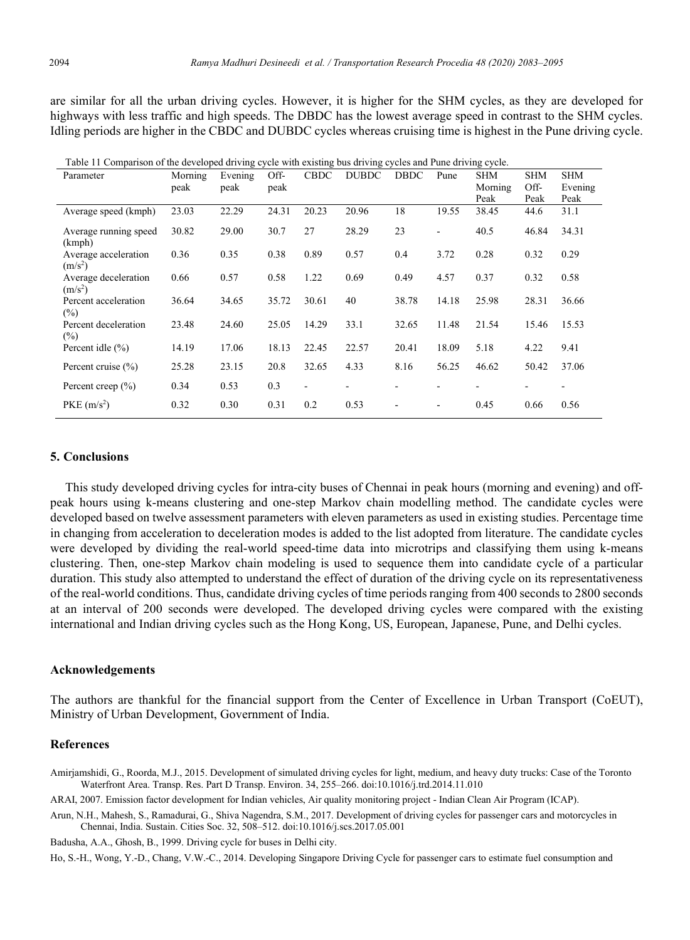are similar for all the urban driving cycles. However, it is higher for the SHM cycles, as they are developed for highways with less traffic and high speeds. The DBDC has the lowest average speed in contrast to the SHM cycles. Idling periods are higher in the CBDC and DUBDC cycles whereas cruising time is highest in the Pune driving cycle.

| Table 11 Comparison of the developed driving eyele while existing bus driving eyeles and I tine driving eyele. |         |         |       |                          |              |             |                          |            |            |            |
|----------------------------------------------------------------------------------------------------------------|---------|---------|-------|--------------------------|--------------|-------------|--------------------------|------------|------------|------------|
| Parameter                                                                                                      | Morning | Evening | Off-  | <b>CBDC</b>              | <b>DUBDC</b> | <b>DBDC</b> | Pune                     | <b>SHM</b> | <b>SHM</b> | <b>SHM</b> |
|                                                                                                                | peak    | peak    | peak  |                          |              |             |                          | Morning    | Off-       | Evening    |
|                                                                                                                |         |         |       |                          |              |             |                          | Peak       | Peak       | Peak       |
| Average speed (kmph)                                                                                           | 23.03   | 22.29   | 24.31 | 20.23                    | 20.96        | 18          | 19.55                    | 38.45      | 44.6       | 31.1       |
| Average running speed<br>(kmph)                                                                                | 30.82   | 29.00   | 30.7  | 27                       | 28.29        | 23          | $\overline{\phantom{a}}$ | 40.5       | 46.84      | 34.31      |
| Average acceleration<br>$(m/s^2)$                                                                              | 0.36    | 0.35    | 0.38  | 0.89                     | 0.57         | 0.4         | 3.72                     | 0.28       | 0.32       | 0.29       |
| Average deceleration<br>$(m/s^2)$                                                                              | 0.66    | 0.57    | 0.58  | 1.22                     | 0.69         | 0.49        | 4.57                     | 0.37       | 0.32       | 0.58       |
| Percent acceleration<br>$(\%)$                                                                                 | 36.64   | 34.65   | 35.72 | 30.61                    | 40           | 38.78       | 14.18                    | 25.98      | 28.31      | 36.66      |
| Percent deceleration<br>$(\%)$                                                                                 | 23.48   | 24.60   | 25.05 | 14.29                    | 33.1         | 32.65       | 11.48                    | 21.54      | 15.46      | 15.53      |
| Percent idle $(\% )$                                                                                           | 14.19   | 17.06   | 18.13 | 22.45                    | 22.57        | 20.41       | 18.09                    | 5.18       | 4.22       | 9.41       |
| Percent cruise $(\% )$                                                                                         | 25.28   | 23.15   | 20.8  | 32.65                    | 4.33         | 8.16        | 56.25                    | 46.62      | 50.42      | 37.06      |
| Percent creep $(\% )$                                                                                          | 0.34    | 0.53    | 0.3   | $\overline{\phantom{a}}$ |              |             |                          |            |            |            |
| $PKE$ (m/s <sup>2</sup> )                                                                                      | 0.32    | 0.30    | 0.31  | 0.2                      | 0.53         |             | ۰                        | 0.45       | 0.66       | 0.56       |

Table 11 Comparison of the developed driving cycle with existing bus driving cycles and Pune driving cycle.

#### **5. Conclusions**

This study developed driving cycles for intra-city buses of Chennai in peak hours (morning and evening) and offpeak hours using k-means clustering and one-step Markov chain modelling method. The candidate cycles were developed based on twelve assessment parameters with eleven parameters as used in existing studies. Percentage time in changing from acceleration to deceleration modes is added to the list adopted from literature. The candidate cycles were developed by dividing the real-world speed-time data into microtrips and classifying them using k-means clustering. Then, one-step Markov chain modeling is used to sequence them into candidate cycle of a particular duration. This study also attempted to understand the effect of duration of the driving cycle on its representativeness of the real-world conditions. Thus, candidate driving cycles of time periods ranging from 400 seconds to 2800 seconds at an interval of 200 seconds were developed. The developed driving cycles were compared with the existing international and Indian driving cycles such as the Hong Kong, US, European, Japanese, Pune, and Delhi cycles.

#### **Acknowledgements**

The authors are thankful for the financial support from the Center of Excellence in Urban Transport (CoEUT), Ministry of Urban Development, Government of India.

### **References**

Amirjamshidi, G., Roorda, M.J., 2015. Development of simulated driving cycles for light, medium, and heavy duty trucks: Case of the Toronto Waterfront Area. Transp. Res. Part D Transp. Environ. 34, 255–266. doi:10.1016/j.trd.2014.11.010

ARAI, 2007. Emission factor development for Indian vehicles, Air quality monitoring project - Indian Clean Air Program (ICAP).

Arun, N.H., Mahesh, S., Ramadurai, G., Shiva Nagendra, S.M., 2017. Development of driving cycles for passenger cars and motorcycles in Chennai, India. Sustain. Cities Soc. 32, 508–512. doi:10.1016/j.scs.2017.05.001

Badusha, A.A., Ghosh, B., 1999. Driving cycle for buses in Delhi city.

Ho, S.-H., Wong, Y.-D., Chang, V.W.-C., 2014. Developing Singapore Driving Cycle for passenger cars to estimate fuel consumption and